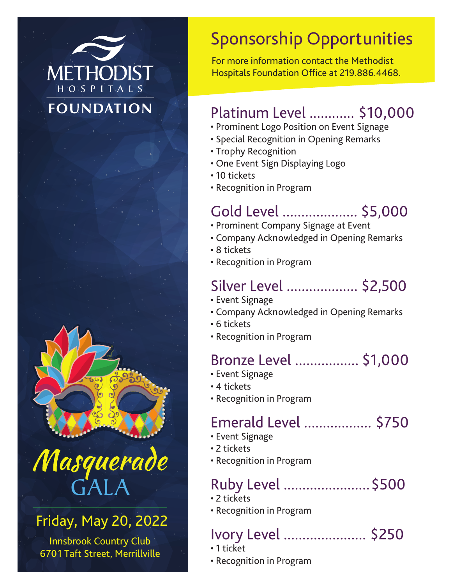## **METHODIST** HOSPITALS **FOUNDATION**



# Masquerade GALA

#### Friday, May 20, 2022

Innsbrook Country Club 6701 Taft Street, Merrillville

## Sponsorship Opportunities

For more information contact the Methodist Hospitals Foundation Office at 219.886.4468.

#### Platinum Level ............ \$10,000

- Prominent Logo Position on Event Signage
- Special Recognition in Opening Remarks
- Trophy Recognition
- One Event Sign Displaying Logo
- 10 tickets
- Recognition in Program

#### Gold Level .................... \$5,000

- Prominent Company Signage at Event
- Company Acknowledged in Opening Remarks
- 8 tickets
- Recognition in Program

#### Silver Level ................... \$2,500

- Event Signage
- Company Acknowledged in Opening Remarks
- 6 tickets
- Recognition in Program

#### Bronze Level ................. \$1,000

- Event Signage
- 4 tickets
- Recognition in Program

#### Emerald Level .................. \$750

- Event Signage
- 2 tickets
- Recognition in Program

### Ruby Level .......................\$500

- 2 tickets
- Recognition in Program

#### Ivory Level ...................... \$250

- 1 ticket
- Recognition in Program